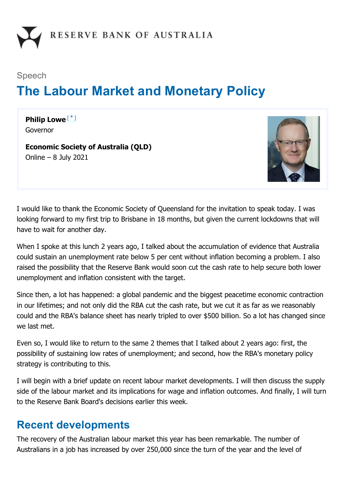

# Speech **The Labour Market and Monetary Policy**

<span id="page-0-0"></span>**Philip Lowe** [\*]Governor

**Economic Society of Australia (QLD)** Online – 8 July 2021



I would like to thank the Economic Society of Queensland for the invitation to speak today. I was looking forward to my first trip to Brisbane in 18 months, but given the current lockdowns that will have to wait for another day.

When I spoke at this lunch 2 years ago, I talked about the accumulation of evidence that Australia could sustain an unemployment rate below 5 per cent without inflation becoming a problem. I also raised the possibility that the Reserve Bank would soon cut the cash rate to help secure both lower unemployment and inflation consistent with the target.

Since then, a lot has happened: a global pandemic and the biggest peacetime economic contraction in our lifetimes; and not only did the RBA cut the cash rate, but we cut it as far as we reasonably could and the RBA's balance sheet has nearly tripled to over \$500 billion. So a lot has changed since we last met.

Even so, I would like to return to the same 2 themes that I talked about 2 years ago: first, the possibility of sustaining low rates of unemployment; and second, how the RBA's monetary policy strategy is contributing to this.

I will begin with a brief update on recent labour market developments. I will then discuss the supply side of the labour market and its implications for wage and inflation outcomes. And finally, I will turn to the Reserve Bank Board's decisions earlier this week.

### **Recent developments**

The recovery of the Australian labour market this year has been remarkable. The number of Australians in a job has increased by over 250,000 since the turn of the year and the level of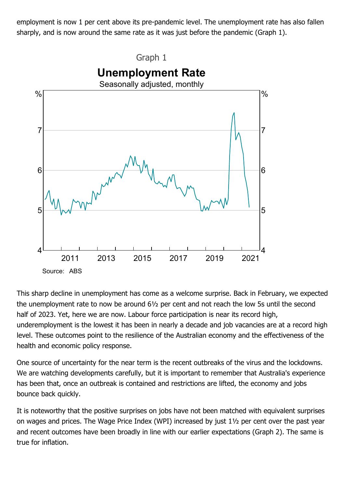employment is now 1 per cent above its pre-pandemic level. The unemployment rate has also fallen sharply, and is now around the same rate as it was just before the pandemic (Graph 1).



This sharp decline in unemployment has come as a welcome surprise. Back in February, we expected the unemployment rate to now be around 6½ per cent and not reach the low 5s until the second half of 2023. Yet, here we are now. Labour force participation is near its record high, underemployment is the lowest it has been in nearly a decade and job vacancies are at a record high level. These outcomes point to the resilience of the Australian economy and the effectiveness of the health and economic policy response.

One source of uncertainty for the near term is the recent outbreaks of the virus and the lockdowns. We are watching developments carefully, but it is important to remember that Australia's experience has been that, once an outbreak is contained and restrictions are lifted, the economy and jobs bounce back quickly.

It is noteworthy that the positive surprises on jobs have not been matched with equivalent surprises on wages and prices. The Wage Price Index (WPI) increased by just 1½ per cent over the past year and recent outcomes have been broadly in line with our earlier expectations (Graph 2). The same is true for inflation.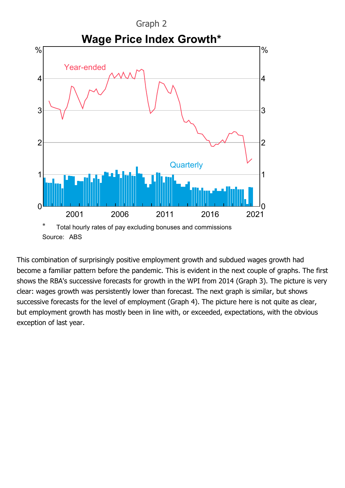

This combination of surprisingly positive employment growth and subdued wages growth had become a familiar pattern before the pandemic. This is evident in the next couple of graphs. The first shows the RBA's successive forecasts for growth in the WPI from 2014 (Graph 3). The picture is very clear: wages growth was persistently lower than forecast. The next graph is similar, but shows successive forecasts for the level of employment (Graph 4). The picture here is not quite as clear, but employment growth has mostly been in line with, or exceeded, expectations, with the obvious exception of last year.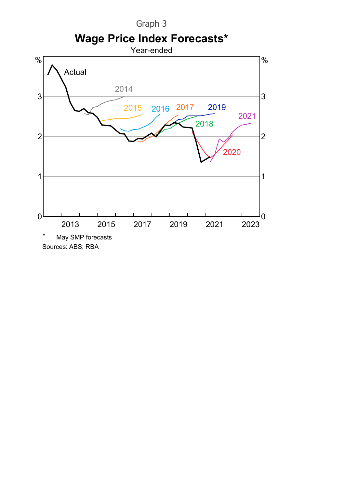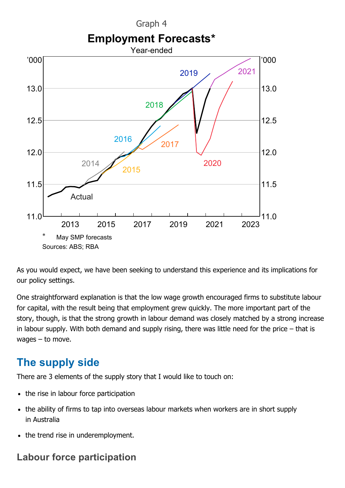

As you would expect, we have been seeking to understand this experience and its implications for our policy settings.

One straightforward explanation is that the low wage growth encouraged firms to substitute labour for capital, with the result being that employment grew quickly. The more important part of the story, though, is that the strong growth in labour demand was closely matched by a strong increase in labour supply. With both demand and supply rising, there was little need for the price – that is wages – to move.

# **The supply side**

There are 3 elements of the supply story that I would like to touch on:

- the rise in labour force participation
- the ability of firms to tap into overseas labour markets when workers are in short supply in Australia
- the trend rise in underemployment.

#### **Labour force participation**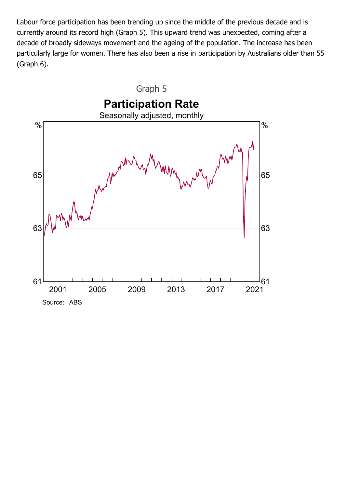Labour force participation has been trending up since the middle of the previous decade and is currently around its record high (Graph 5). This upward trend was unexpected, coming after a decade of broadly sideways movement and the ageing of the population. The increase has been particularly large for women. There has also been a rise in participation by Australians older than 55 (Graph 6).

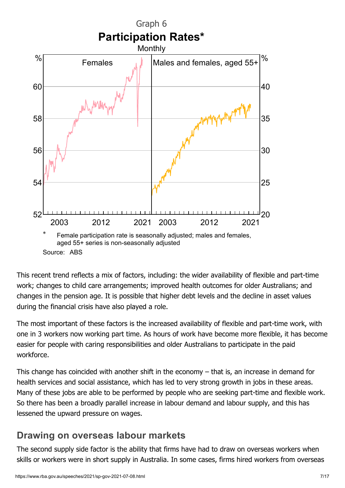

This recent trend reflects a mix of factors, including: the wider availability of flexible and part-time work; changes to child care arrangements; improved health outcomes for older Australians; and changes in the pension age. It is possible that higher debt levels and the decline in asset values during the financial crisis have also played a role.

The most important of these factors is the increased availability of flexible and part-time work, with one in 3 workers now working part time. As hours of work have become more flexible, it has become easier for people with caring responsibilities and older Australians to participate in the paid workforce.

This change has coincided with another shift in the economy – that is, an increase in demand for health services and social assistance, which has led to very strong growth in jobs in these areas. Many of these jobs are able to be performed by people who are seeking part-time and flexible work. So there has been a broadly parallel increase in labour demand and labour supply, and this has lessened the upward pressure on wages.

#### **Drawing on overseas labour markets**

The second supply side factor is the ability that firms have had to draw on overseas workers when skills or workers were in short supply in Australia. In some cases, firms hired workers from overseas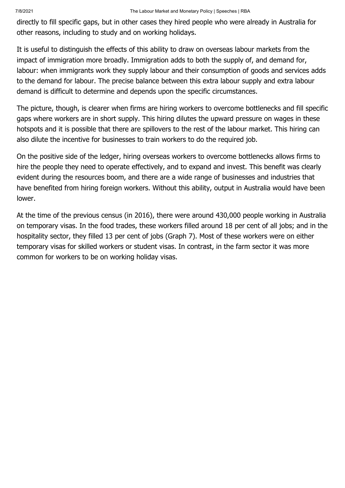directly to fill specific gaps, but in other cases they hired people who were already in Australia for other reasons, including to study and on working holidays.

It is useful to distinguish the effects of this ability to draw on overseas labour markets from the impact of immigration more broadly. Immigration adds to both the supply of, and demand for, labour: when immigrants work they supply labour and their consumption of goods and services adds to the demand for labour. The precise balance between this extra labour supply and extra labour demand is difficult to determine and depends upon the specific circumstances.

The picture, though, is clearer when firms are hiring workers to overcome bottlenecks and fill specific gaps where workers are in short supply. This hiring dilutes the upward pressure on wages in these hotspots and it is possible that there are spillovers to the rest of the labour market. This hiring can also dilute the incentive for businesses to train workers to do the required job.

On the positive side of the ledger, hiring overseas workers to overcome bottlenecks allows firms to hire the people they need to operate effectively, and to expand and invest. This benefit was clearly evident during the resources boom, and there are a wide range of businesses and industries that have benefited from hiring foreign workers. Without this ability, output in Australia would have been lower.

At the time of the previous census (in 2016), there were around 430,000 people working in Australia on temporary visas. In the food trades, these workers filled around 18 per cent of all jobs; and in the hospitality sector, they filled 13 per cent of jobs (Graph 7). Most of these workers were on either temporary visas for skilled workers or student visas. In contrast, in the farm sector it was more common for workers to be on working holiday visas.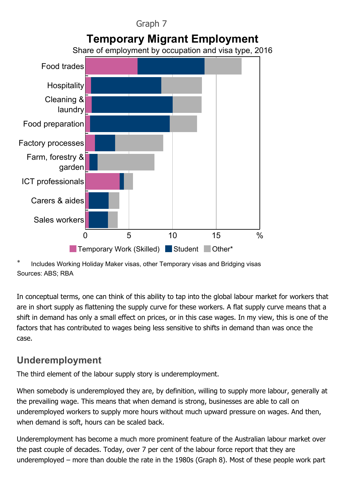

Includes Working Holiday Maker visas, other Temporary visas and Bridging visas Sources: ABS; RBA

In conceptual terms, one can think of this ability to tap into the global labour market for workers that are in short supply as flattening the supply curve for these workers. A flat supply curve means that a shift in demand has only a small effect on prices, or in this case wages. In my view, this is one of the factors that has contributed to wages being less sensitive to shifts in demand than was once the case.

#### **Underemployment**

The third element of the labour supply story is underemployment.

When somebody is underemployed they are, by definition, willing to supply more labour, generally at the prevailing wage. This means that when demand is strong, businesses are able to call on underemployed workers to supply more hours without much upward pressure on wages. And then, when demand is soft, hours can be scaled back.

Underemployment has become a much more prominent feature of the Australian labour market over the past couple of decades. Today, over 7 per cent of the labour force report that they are underemployed – more than double the rate in the 1980s (Graph 8). Most of these people work part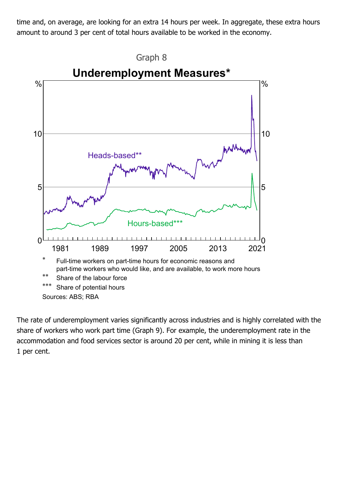time and, on average, are looking for an extra 14 hours per week. In aggregate, these extra hours amount to around 3 per cent of total hours available to be worked in the economy.



The rate of underemployment varies significantly across industries and is highly correlated with the share of workers who work part time (Graph 9). For example, the underemployment rate in the accommodation and food services sector is around 20 per cent, while in mining it is less than 1 per cent.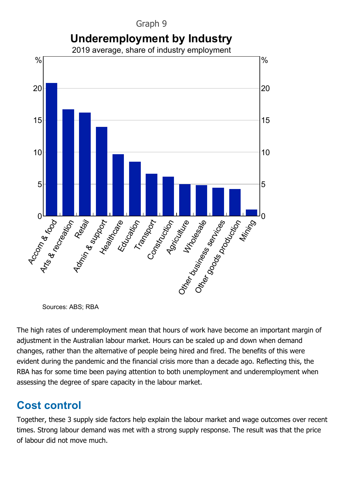

Sources: ABS; RBA

The high rates of underemployment mean that hours of work have become an important margin of adjustment in the Australian labour market. Hours can be scaled up and down when demand changes, rather than the alternative of people being hired and fired. The benefits of this were evident during the pandemic and the financial crisis more than a decade ago. Reflecting this, the RBA has for some time been paying attention to both unemployment and underemployment when assessing the degree of spare capacity in the labour market.

# **Cost control**

Together, these 3 supply side factors help explain the labour market and wage outcomes over recent times. Strong labour demand was met with a strong supply response. The result was that the price of labour did not move much.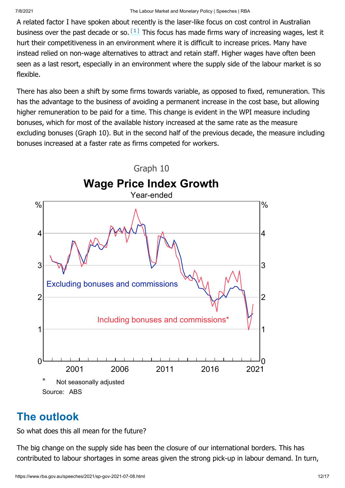<span id="page-11-0"></span>A related factor I have spoken about recently is the laser-like focus on cost control in Australian business over the past decade or so.  $\left[1\right]$  This focus has made firms wary of increasing wages, lest it hurt their competitiveness in an environment where it is difficult to increase prices. Many have instead relied on non-wage alternatives to attract and retain staff. Higher wages have often been seen as a last resort, especially in an environment where the supply side of the labour market is so flexible.

There has also been a shift by some firms towards variable, as opposed to fixed, remuneration. This has the advantage to the business of avoiding a permanent increase in the cost base, but allowing higher remuneration to be paid for a time. This change is evident in the WPI measure including bonuses, which for most of the available history increased at the same rate as the measure excluding bonuses (Graph 10). But in the second half of the previous decade, the measure including bonuses increased at a faster rate as firms competed for workers.



# **The outlook**

So what does this all mean for the future?

The big change on the supply side has been the closure of our international borders. This has contributed to labour shortages in some areas given the strong pick-up in labour demand. In turn,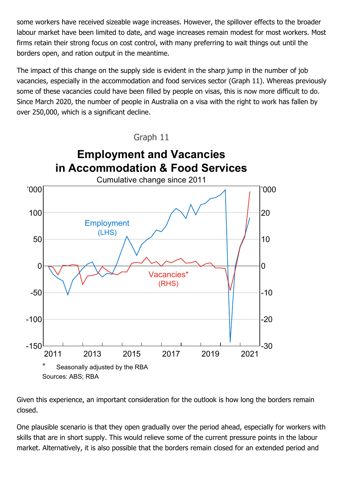some workers have received sizeable wage increases. However, the spillover effects to the broader labour market have been limited to date, and wage increases remain modest for most workers. Most firms retain their strong focus on cost control, with many preferring to wait things out until the borders open, and ration output in the meantime.

The impact of this change on the supply side is evident in the sharp jump in the number of job vacancies, especially in the accommodation and food services sector (Graph 11). Whereas previously some of these vacancies could have been filled by people on visas, this is now more difficult to do. Since March 2020, the number of people in Australia on a visa with the right to work has fallen by over 250,000, which is a significant decline.



Given this experience, an important consideration for the outlook is how long the borders remain closed.

One plausible scenario is that they open gradually over the period ahead, especially for workers with skills that are in short supply. This would relieve some of the current pressure points in the labour market. Alternatively, it is also possible that the borders remain closed for an extended period and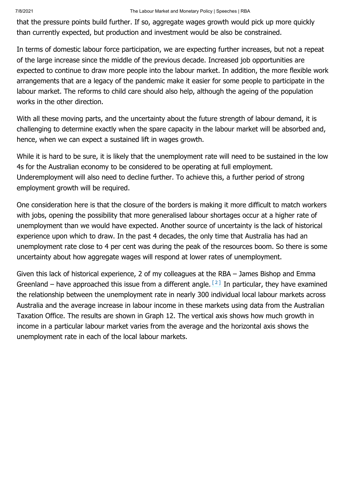that the pressure points build further. If so, aggregate wages growth would pick up more quickly than currently expected, but production and investment would be also be constrained.

In terms of domestic labour force participation, we are expecting further increases, but not a repeat of the large increase since the middle of the previous decade. Increased job opportunities are expected to continue to draw more people into the labour market. In addition, the more flexible work arrangements that are a legacy of the pandemic make it easier for some people to participate in the labour market. The reforms to child care should also help, although the ageing of the population works in the other direction.

With all these moving parts, and the uncertainty about the future strength of labour demand, it is challenging to determine exactly when the spare capacity in the labour market will be absorbed and, hence, when we can expect a sustained lift in wages growth.

While it is hard to be sure, it is likely that the unemployment rate will need to be sustained in the low 4s for the Australian economy to be considered to be operating at full employment. Underemployment will also need to decline further. To achieve this, a further period of strong employment growth will be required.

One consideration here is that the closure of the borders is making it more difficult to match workers with jobs, opening the possibility that more generalised labour shortages occur at a higher rate of unemployment than we would have expected. Another source of uncertainty is the lack of historical experience upon which to draw. In the past 4 decades, the only time that Australia has had an unemployment rate close to 4 per cent was during the peak of the resources boom. So there is some uncertainty about how aggregate wages will respond at lower rates of unemployment.

<span id="page-13-0"></span>Given this lack of historical experience, 2 of my colleagues at the RBA – James Bishop and Emma Greenland – have approached this issue from a different angle.  $[2]$  In particular, they have examined the relationship between the unemployment rate in nearly 300 individual local labour markets across Australia and the average increase in labour income in these markets using data from the Australian Taxation Office. The results are shown in Graph 12. The vertical axis shows how much growth in income in a particular labour market varies from the average and the horizontal axis shows the unemployment rate in each of the local labour markets.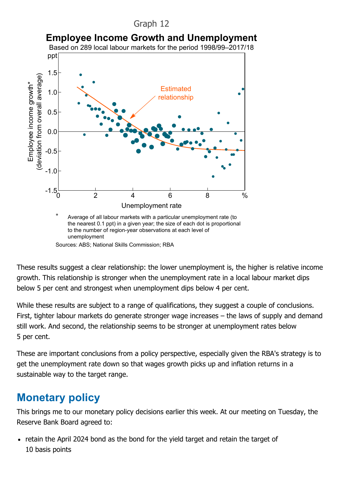#### Graph 12



These results suggest a clear relationship: the lower unemployment is, the higher is relative income growth. This relationship is stronger when the unemployment rate in a local labour market dips below 5 per cent and strongest when unemployment dips below 4 per cent.

While these results are subject to a range of qualifications, they suggest a couple of conclusions. First, tighter labour markets do generate stronger wage increases – the laws of supply and demand still work. And second, the relationship seems to be stronger at unemployment rates below 5 per cent.

These are important conclusions from a policy perspective, especially given the RBA's strategy is to get the unemployment rate down so that wages growth picks up and inflation returns in a sustainable way to the target range.

# **Monetary policy**

This brings me to our monetary policy decisions earlier this week. At our meeting on Tuesday, the Reserve Bank Board agreed to:

• retain the April 2024 bond as the bond for the yield target and retain the target of 10 basis points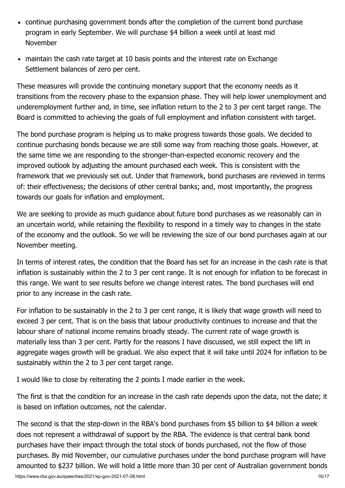- continue purchasing government bonds after the completion of the current bond purchase program in early September. We will purchase \$4 billion a week until at least mid November
- maintain the cash rate target at 10 basis points and the interest rate on Exchange Settlement balances of zero per cent.

These measures will provide the continuing monetary support that the economy needs as it transitions from the recovery phase to the expansion phase. They will help lower unemployment and underemployment further and, in time, see inflation return to the 2 to 3 per cent target range. The Board is committed to achieving the goals of full employment and inflation consistent with target.

The bond purchase program is helping us to make progress towards those goals. We decided to continue purchasing bonds because we are still some way from reaching those goals. However, at the same time we are responding to the stronger-than-expected economic recovery and the improved outlook by adjusting the amount purchased each week. This is consistent with the framework that we previously set out. Under that framework, bond purchases are reviewed in terms of: their effectiveness; the decisions of other central banks; and, most importantly, the progress towards our goals for inflation and employment.

We are seeking to provide as much guidance about future bond purchases as we reasonably can in an uncertain world, while retaining the flexibility to respond in a timely way to changes in the state of the economy and the outlook. So we will be reviewing the size of our bond purchases again at our November meeting.

In terms of interest rates, the condition that the Board has set for an increase in the cash rate is that inflation is sustainably within the 2 to 3 per cent range. It is not enough for inflation to be forecast in this range. We want to see results before we change interest rates. The bond purchases will end prior to any increase in the cash rate.

For inflation to be sustainably in the 2 to 3 per cent range, it is likely that wage growth will need to exceed 3 per cent. That is on the basis that labour productivity continues to increase and that the labour share of national income remains broadly steady. The current rate of wage growth is materially less than 3 per cent. Partly for the reasons I have discussed, we still expect the lift in aggregate wages growth will be gradual. We also expect that it will take until 2024 for inflation to be sustainably within the 2 to 3 per cent target range.

I would like to close by reiterating the 2 points I made earlier in the week.

The first is that the condition for an increase in the cash rate depends upon the data, not the date; it is based on inflation outcomes, not the calendar.

The second is that the step-down in the RBA's bond purchases from \$5 billion to \$4 billion a week does not represent a withdrawal of support by the RBA. The evidence is that central bank bond purchases have their impact through the total stock of bonds purchased, not the flow of those purchases. By mid November, our cumulative purchases under the bond purchase program will have amounted to \$237 billion. We will hold a little more than 30 per cent of Australian government bonds